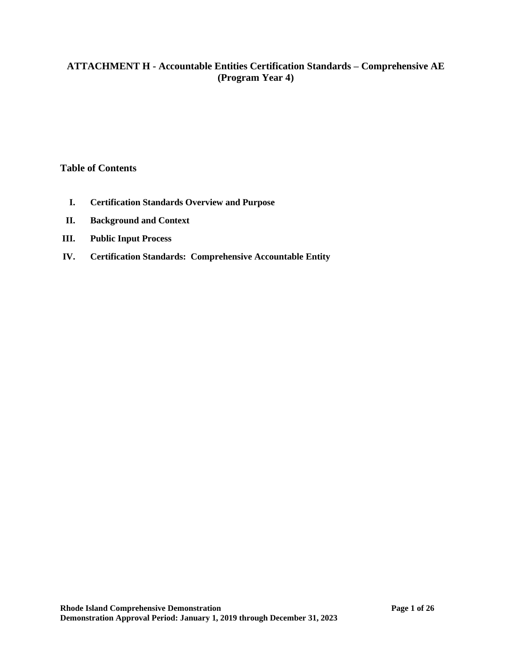# **ATTACHMENT H - Accountable Entities Certification Standards – Comprehensive AE (Program Year 4)**

#### **Table of Contents**

- **I. Certification Standards Overview and Purpose**
- **II. Background and Context**
- **III. Public Input Process**
- **IV. Certification Standards: Comprehensive Accountable Entity**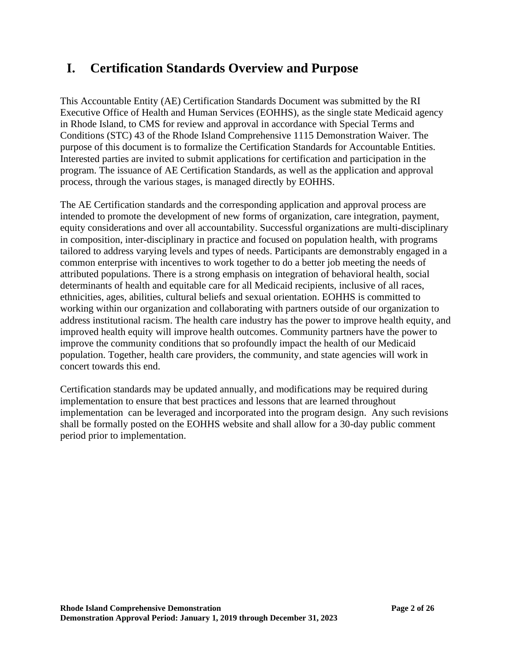# **I. Certification Standards Overview and Purpose**

This Accountable Entity (AE) Certification Standards Document was submitted by the RI Executive Office of Health and Human Services (EOHHS), as the single state Medicaid agency in Rhode Island, to CMS for review and approval in accordance with Special Terms and Conditions (STC) 43 of the Rhode Island Comprehensive 1115 Demonstration Waiver. The purpose of this document is to formalize the Certification Standards for Accountable Entities. Interested parties are invited to submit applications for certification and participation in the program. The issuance of AE Certification Standards, as well as the application and approval process, through the various stages, is managed directly by EOHHS.

The AE Certification standards and the corresponding application and approval process are intended to promote the development of new forms of organization, care integration, payment, equity considerations and over all accountability. Successful organizations are multi-disciplinary in composition, inter-disciplinary in practice and focused on population health, with programs tailored to address varying levels and types of needs. Participants are demonstrably engaged in a common enterprise with incentives to work together to do a better job meeting the needs of attributed populations. There is a strong emphasis on integration of behavioral health, social determinants of health and equitable care for all Medicaid recipients, inclusive of all races, ethnicities, ages, abilities, cultural beliefs and sexual orientation. EOHHS is committed to working within our organization and collaborating with partners outside of our organization to address institutional racism. The health care industry has the power to improve health equity, and improved health equity will improve health outcomes. Community partners have the power to improve the community conditions that so profoundly impact the health of our Medicaid population. Together, health care providers, the community, and state agencies will work in concert towards this end.

Certification standards may be updated annually, and modifications may be required during implementation to ensure that best practices and lessons that are learned throughout implementation can be leveraged and incorporated into the program design. Any such revisions shall be formally posted on the EOHHS website and shall allow for a 30-day public comment period prior to implementation.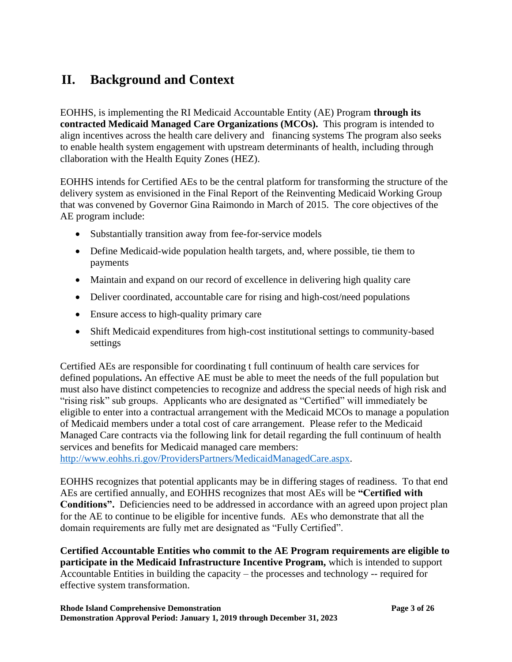# **II. Background and Context**

EOHHS, is implementing the RI Medicaid Accountable Entity (AE) Program **through its contracted Medicaid Managed Care Organizations (MCOs).** This program is intended to align incentives across the health care delivery and financing systems The program also seeks to enable health system engagement with upstream determinants of health, including through cllaboration with the Health Equity Zones (HEZ).

EOHHS intends for Certified AEs to be the central platform for transforming the structure of the delivery system as envisioned in the Final Report of the Reinventing Medicaid Working Group that was convened by Governor Gina Raimondo in March of 2015. The core objectives of the AE program include:

- Substantially transition away from fee-for-service models
- Define Medicaid-wide population health targets, and, where possible, tie them to payments
- Maintain and expand on our record of excellence in delivering high quality care
- Deliver coordinated, accountable care for rising and high-cost/need populations
- Ensure access to high-quality primary care
- Shift Medicaid expenditures from high-cost institutional settings to community-based settings

Certified AEs are responsible for coordinating t full continuum of health care services for defined populations**.** An effective AE must be able to meet the needs of the full population but must also have distinct competencies to recognize and address the special needs of high risk and "rising risk" sub groups. Applicants who are designated as "Certified" will immediately be eligible to enter into a contractual arrangement with the Medicaid MCOs to manage a population of Medicaid members under a total cost of care arrangement. Please refer to the Medicaid Managed Care contracts via the following link for detail regarding the full continuum of health services and benefits for Medicaid managed care members:

[http://www.eohhs.ri.gov/ProvidersPartners/MedicaidManagedCare.aspx.](http://www.eohhs.ri.gov/ProvidersPartners/MedicaidManagedCare.aspx)

EOHHS recognizes that potential applicants may be in differing stages of readiness. To that end AEs are certified annually, and EOHHS recognizes that most AEs will be **"Certified with** Conditions". Deficiencies need to be addressed in accordance with an agreed upon project plan for the AE to continue to be eligible for incentive funds. AEs who demonstrate that all the domain requirements are fully met are designated as "Fully Certified".

**Certified Accountable Entities who commit to the AE Program requirements are eligible to participate in the Medicaid Infrastructure Incentive Program,** which is intended to support Accountable Entities in building the capacity – the processes and technology -- required for effective system transformation.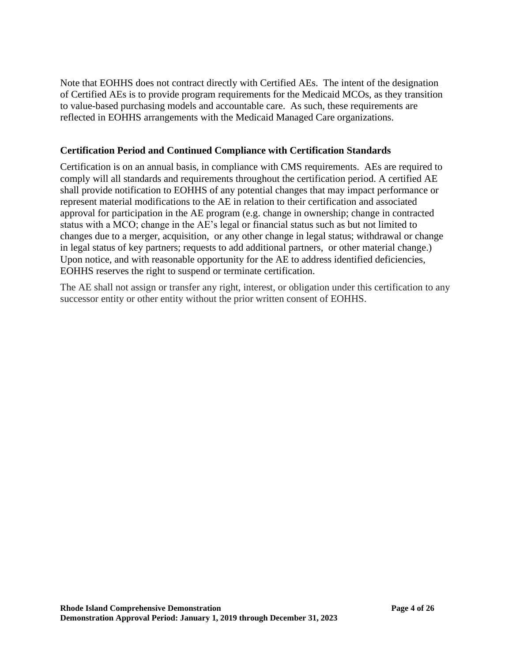Note that EOHHS does not contract directly with Certified AEs. The intent of the designation of Certified AEs is to provide program requirements for the Medicaid MCOs, as they transition to value-based purchasing models and accountable care. As such, these requirements are reflected in EOHHS arrangements with the Medicaid Managed Care organizations.

## **Certification Period and Continued Compliance with Certification Standards**

Certification is on an annual basis, in compliance with CMS requirements. AEs are required to comply will all standards and requirements throughout the certification period. A certified AE shall provide notification to EOHHS of any potential changes that may impact performance or represent material modifications to the AE in relation to their certification and associated approval for participation in the AE program (e.g. change in ownership; change in contracted status with a MCO; change in the AE's legal or financial status such as but not limited to changes due to a merger, acquisition, or any other change in legal status; withdrawal or change in legal status of key partners; requests to add additional partners, or other material change.) Upon notice, and with reasonable opportunity for the AE to address identified deficiencies, EOHHS reserves the right to suspend or terminate certification.

The AE shall not assign or transfer any right, interest, or obligation under this certification to any successor entity or other entity without the prior written consent of EOHHS.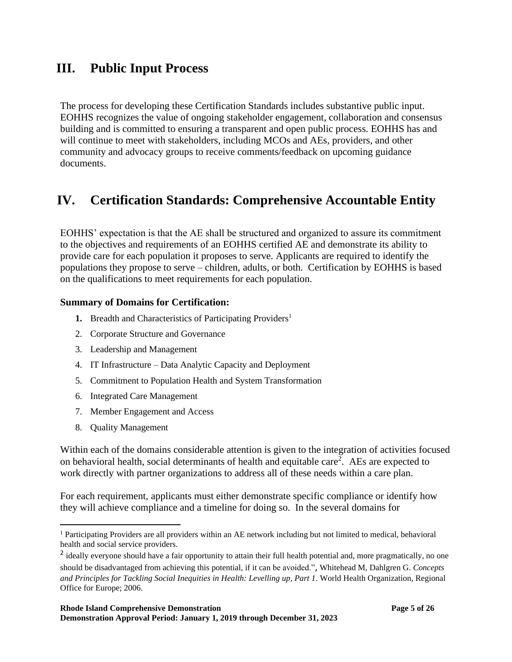# **III. Public Input Process**

The process for developing these Certification Standards includes substantive public input. EOHHS recognizes the value of ongoing stakeholder engagement, collaboration and consensus building and is committed to ensuring a transparent and open public process. EOHHS has and will continue to meet with stakeholders, including MCOs and AEs, providers, and other community and advocacy groups to receive comments/feedback on upcoming guidance documents.

# **IV. Certification Standards: Comprehensive Accountable Entity**

EOHHS' expectation is that the AE shall be structured and organized to assure its commitment to the objectives and requirements of an EOHHS certified AE and demonstrate its ability to provide care for each population it proposes to serve. Applicants are required to identify the populations they propose to serve – children, adults, or both. Certification by EOHHS is based on the qualifications to meet requirements for each population.

#### **Summary of Domains for Certification:**

- **1.** Breadth and Characteristics of Participating Providers<sup>1</sup>
- 2. Corporate Structure and Governance
- 3. Leadership and Management
- 4. IT Infrastructure Data Analytic Capacity and Deployment
- 5. Commitment to Population Health and System Transformation
- 6. Integrated Care Management
- 7. Member Engagement and Access
- 8. Quality Management

Within each of the domains considerable attention is given to the integration of activities focused on behavioral health, social determinants of health and equitable care<sup>2</sup>. AEs are expected to work directly with partner organizations to address all of these needs within a care plan.

For each requirement, applicants must either demonstrate specific compliance or identify how they will achieve compliance and a timeline for doing so. In the several domains for

<sup>&</sup>lt;sup>1</sup> Participating Providers are all providers within an AE network including but not limited to medical, behavioral health and social service providers.

<sup>&</sup>lt;sup>2</sup> ideally everyone should have a fair opportunity to attain their full health potential and, more pragmatically, no one should be disadvantaged from achieving this potential, if it can be avoided.", Whitehead M, Dahlgren G. *Concepts and Principles for Tackling Social Inequities in Health: Levelling up, Part 1*. World Health Organization, Regional Office for Europe; 2006.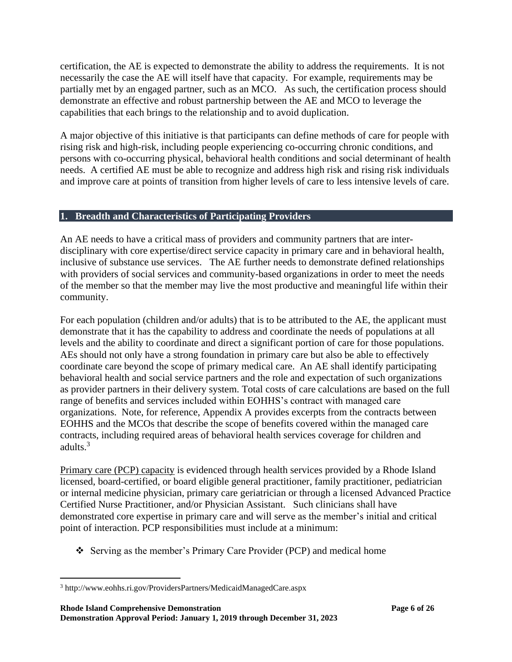certification, the AE is expected to demonstrate the ability to address the requirements. It is not necessarily the case the AE will itself have that capacity. For example, requirements may be partially met by an engaged partner, such as an MCO. As such, the certification process should demonstrate an effective and robust partnership between the AE and MCO to leverage the capabilities that each brings to the relationship and to avoid duplication.

A major objective of this initiative is that participants can define methods of care for people with rising risk and high-risk, including people experiencing co-occurring chronic conditions, and persons with co-occurring physical, behavioral health conditions and social determinant of health needs. A certified AE must be able to recognize and address high risk and rising risk individuals and improve care at points of transition from higher levels of care to less intensive levels of care.

## **1. Breadth and Characteristics of Participating Providers**

An AE needs to have a critical mass of providers and community partners that are interdisciplinary with core expertise/direct service capacity in primary care and in behavioral health, inclusive of substance use services. The AE further needs to demonstrate defined relationships with providers of social services and community-based organizations in order to meet the needs of the member so that the member may live the most productive and meaningful life within their community.

For each population (children and/or adults) that is to be attributed to the AE, the applicant must demonstrate that it has the capability to address and coordinate the needs of populations at all levels and the ability to coordinate and direct a significant portion of care for those populations. AEs should not only have a strong foundation in primary care but also be able to effectively coordinate care beyond the scope of primary medical care. An AE shall identify participating behavioral health and social service partners and the role and expectation of such organizations as provider partners in their delivery system. Total costs of care calculations are based on the full range of benefits and services included within EOHHS's contract with managed care organizations. Note, for reference, Appendix A provides excerpts from the contracts between EOHHS and the MCOs that describe the scope of benefits covered within the managed care contracts, including required areas of behavioral health services coverage for children and adults.<sup>3</sup>

Primary care (PCP) capacity is evidenced through health services provided by a Rhode Island licensed, board-certified, or board eligible general practitioner, family practitioner, pediatrician or internal medicine physician, primary care geriatrician or through a licensed Advanced Practice Certified Nurse Practitioner, and/or Physician Assistant. Such clinicians shall have demonstrated core expertise in primary care and will serve as the member's initial and critical point of interaction. PCP responsibilities must include at a minimum:

❖ Serving as the member's Primary Care Provider (PCP) and medical home

<sup>3</sup> http://www.eohhs.ri.gov/ProvidersPartners/MedicaidManagedCare.aspx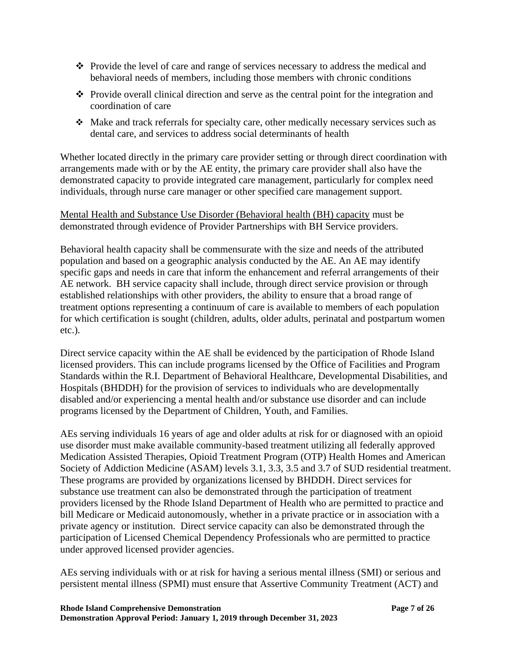- ❖ Provide the level of care and range of services necessary to address the medical and behavioral needs of members, including those members with chronic conditions
- ❖ Provide overall clinical direction and serve as the central point for the integration and coordination of care
- ❖ Make and track referrals for specialty care, other medically necessary services such as dental care, and services to address social determinants of health

Whether located directly in the primary care provider setting or through direct coordination with arrangements made with or by the AE entity, the primary care provider shall also have the demonstrated capacity to provide integrated care management, particularly for complex need individuals, through nurse care manager or other specified care management support.

Mental Health and Substance Use Disorder (Behavioral health (BH) capacity must be demonstrated through evidence of Provider Partnerships with BH Service providers.

Behavioral health capacity shall be commensurate with the size and needs of the attributed population and based on a geographic analysis conducted by the AE. An AE may identify specific gaps and needs in care that inform the enhancement and referral arrangements of their AE network. BH service capacity shall include, through direct service provision or through established relationships with other providers, the ability to ensure that a broad range of treatment options representing a continuum of care is available to members of each population for which certification is sought (children, adults, older adults, perinatal and postpartum women etc.).

Direct service capacity within the AE shall be evidenced by the participation of Rhode Island licensed providers. This can include programs licensed by the Office of Facilities and Program Standards within the R.I. Department of Behavioral Healthcare, Developmental Disabilities, and Hospitals (BHDDH) for the provision of services to individuals who are developmentally disabled and/or experiencing a mental health and/or substance use disorder and can include programs licensed by the Department of Children, Youth, and Families.

AEs serving individuals 16 years of age and older adults at risk for or diagnosed with an opioid use disorder must make available community-based treatment utilizing all federally approved Medication Assisted Therapies, Opioid Treatment Program (OTP) Health Homes and American Society of Addiction Medicine (ASAM) levels 3.1, 3.3, 3.5 and 3.7 of SUD residential treatment. These programs are provided by organizations licensed by BHDDH. Direct services for substance use treatment can also be demonstrated through the participation of treatment providers licensed by the Rhode Island Department of Health who are permitted to practice and bill Medicare or Medicaid autonomously, whether in a private practice or in association with a private agency or institution. Direct service capacity can also be demonstrated through the participation of Licensed Chemical Dependency Professionals who are permitted to practice under approved licensed provider agencies.

AEs serving individuals with or at risk for having a serious mental illness (SMI) or serious and persistent mental illness (SPMI) must ensure that Assertive Community Treatment (ACT) and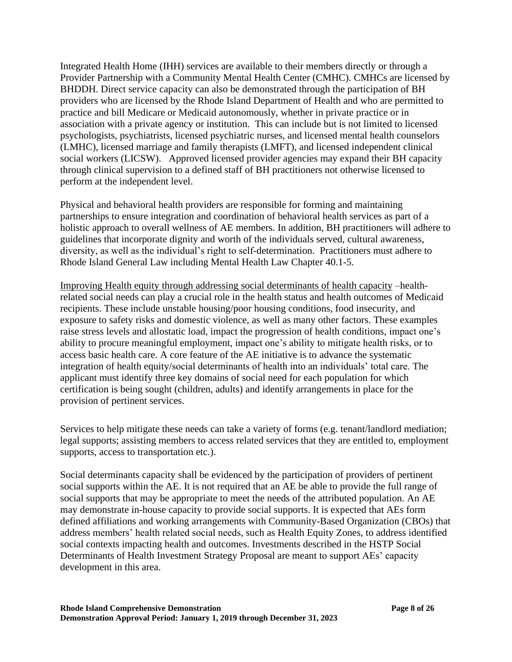Integrated Health Home (IHH) services are available to their members directly or through a Provider Partnership with a Community Mental Health Center (CMHC). CMHCs are licensed by BHDDH. Direct service capacity can also be demonstrated through the participation of BH providers who are licensed by the Rhode Island Department of Health and who are permitted to practice and bill Medicare or Medicaid autonomously, whether in private practice or in association with a private agency or institution. This can include but is not limited to licensed psychologists, psychiatrists, licensed psychiatric nurses, and licensed mental health counselors (LMHC), licensed marriage and family therapists (LMFT), and licensed independent clinical social workers (LICSW). Approved licensed provider agencies may expand their BH capacity through clinical supervision to a defined staff of BH practitioners not otherwise licensed to perform at the independent level.

Physical and behavioral health providers are responsible for forming and maintaining partnerships to ensure integration and coordination of behavioral health services as part of a holistic approach to overall wellness of AE members. In addition, BH practitioners will adhere to guidelines that incorporate dignity and worth of the individuals served, cultural awareness, diversity, as well as the individual's right to self-determination. Practitioners must adhere to Rhode Island General Law including Mental Health Law Chapter 40.1-5.

Improving Health equity through addressing social determinants of health capacity –healthrelated social needs can play a crucial role in the health status and health outcomes of Medicaid recipients. These include unstable housing/poor housing conditions, food insecurity, and exposure to safety risks and domestic violence, as well as many other factors. These examples raise stress levels and allostatic load, impact the progression of health conditions, impact one's ability to procure meaningful employment, impact one's ability to mitigate health risks, or to access basic health care. A core feature of the AE initiative is to advance the systematic integration of health equity/social determinants of health into an individuals' total care. The applicant must identify three key domains of social need for each population for which certification is being sought (children, adults) and identify arrangements in place for the provision of pertinent services.

Services to help mitigate these needs can take a variety of forms (e.g. tenant/landlord mediation; legal supports; assisting members to access related services that they are entitled to, employment supports, access to transportation etc.).

Social determinants capacity shall be evidenced by the participation of providers of pertinent social supports within the AE. It is not required that an AE be able to provide the full range of social supports that may be appropriate to meet the needs of the attributed population. An AE may demonstrate in-house capacity to provide social supports. It is expected that AEs form defined affiliations and working arrangements with Community-Based Organization (CBOs) that address members' health related social needs, such as Health Equity Zones, to address identified social contexts impacting health and outcomes. Investments described in the HSTP Social Determinants of Health Investment Strategy Proposal are meant to support AEs' capacity development in this area.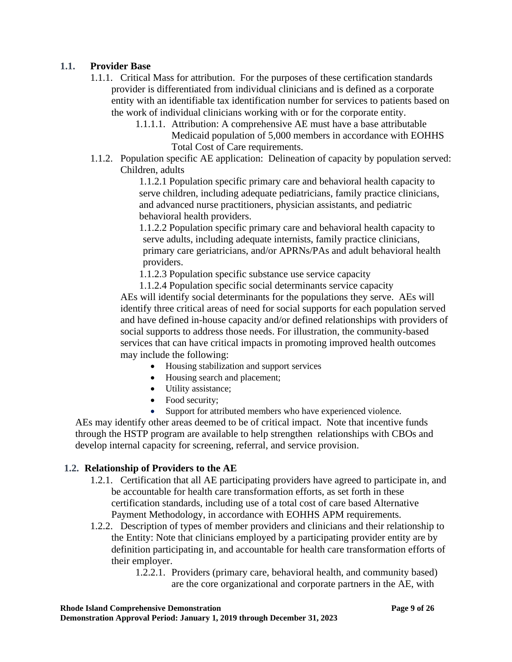# **1.1. Provider Base**

- 1.1.1. Critical Mass for attribution. For the purposes of these certification standards provider is differentiated from individual clinicians and is defined as a corporate entity with an identifiable tax identification number for services to patients based on the work of individual clinicians working with or for the corporate entity.
	- 1.1.1.1. Attribution: A comprehensive AE must have a base attributable Medicaid population of 5,000 members in accordance with EOHHS Total Cost of Care requirements.
- 1.1.2. Population specific AE application: Delineation of capacity by population served: Children, adults

1.1.2.1 Population specific primary care and behavioral health capacity to serve children, including adequate pediatricians, family practice clinicians, and advanced nurse practitioners, physician assistants, and pediatric behavioral health providers.

1.1.2.2 Population specific primary care and behavioral health capacity to serve adults, including adequate internists, family practice clinicians, primary care geriatricians, and/or APRNs/PAs and adult behavioral health providers.

1.1.2.3 Population specific substance use service capacity

1.1.2.4 Population specific social determinants service capacity AEs will identify social determinants for the populations they serve. AEs will identify three critical areas of need for social supports for each population served and have defined in-house capacity and/or defined relationships with providers of social supports to address those needs. For illustration, the community-based services that can have critical impacts in promoting improved health outcomes may include the following:

- Housing stabilization and support services
- Housing search and placement;
- Utility assistance;
- Food security;
- Support for attributed members who have experienced violence.

AEs may identify other areas deemed to be of critical impact. Note that incentive funds through the HSTP program are available to help strengthen relationships with CBOs and develop internal capacity for screening, referral, and service provision.

## **1.2. Relationship of Providers to the AE**

- 1.2.1. Certification that all AE participating providers have agreed to participate in, and be accountable for health care transformation efforts, as set forth in these certification standards, including use of a total cost of care based Alternative Payment Methodology, in accordance with EOHHS APM requirements.
- 1.2.2. Description of types of member providers and clinicians and their relationship to the Entity: Note that clinicians employed by a participating provider entity are by definition participating in, and accountable for health care transformation efforts of their employer.

1.2.2.1. Providers (primary care, behavioral health, and community based) are the core organizational and corporate partners in the AE, with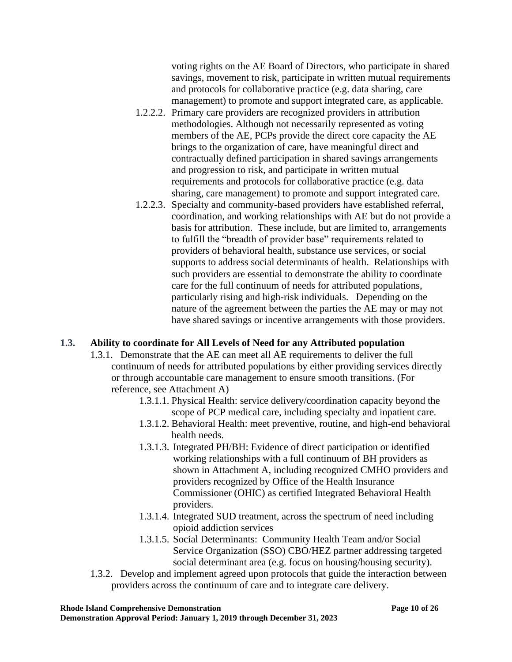voting rights on the AE Board of Directors, who participate in shared savings, movement to risk, participate in written mutual requirements and protocols for collaborative practice (e.g. data sharing, care management) to promote and support integrated care, as applicable.

- 1.2.2.2. Primary care providers are recognized providers in attribution methodologies. Although not necessarily represented as voting members of the AE, PCPs provide the direct core capacity the AE brings to the organization of care, have meaningful direct and contractually defined participation in shared savings arrangements and progression to risk, and participate in written mutual requirements and protocols for collaborative practice (e.g. data sharing, care management) to promote and support integrated care.
- 1.2.2.3. Specialty and community-based providers have established referral, coordination, and working relationships with AE but do not provide a basis for attribution. These include, but are limited to, arrangements to fulfill the "breadth of provider base" requirements related to providers of behavioral health, substance use services, or social supports to address social determinants of health. Relationships with such providers are essential to demonstrate the ability to coordinate care for the full continuum of needs for attributed populations, particularly rising and high-risk individuals. Depending on the nature of the agreement between the parties the AE may or may not have shared savings or incentive arrangements with those providers.

## **1.3. Ability to coordinate for All Levels of Need for any Attributed population**

- 1.3.1. Demonstrate that the AE can meet all AE requirements to deliver the full continuum of needs for attributed populations by either providing services directly or through accountable care management to ensure smooth transitions. (For reference, see Attachment A)
	- 1.3.1.1. Physical Health: service delivery/coordination capacity beyond the scope of PCP medical care, including specialty and inpatient care.
	- 1.3.1.2. Behavioral Health: meet preventive, routine, and high-end behavioral health needs.
	- 1.3.1.3. Integrated PH/BH: Evidence of direct participation or identified working relationships with a full continuum of BH providers as shown in Attachment A, including recognized CMHO providers and providers recognized by Office of the Health Insurance Commissioner (OHIC) as certified Integrated Behavioral Health providers.
	- 1.3.1.4. Integrated SUD treatment, across the spectrum of need including opioid addiction services
	- 1.3.1.5. Social Determinants: Community Health Team and/or Social Service Organization (SSO) CBO/HEZ partner addressing targeted social determinant area (e.g. focus on housing/housing security).
- 1.3.2. Develop and implement agreed upon protocols that guide the interaction between providers across the continuum of care and to integrate care delivery.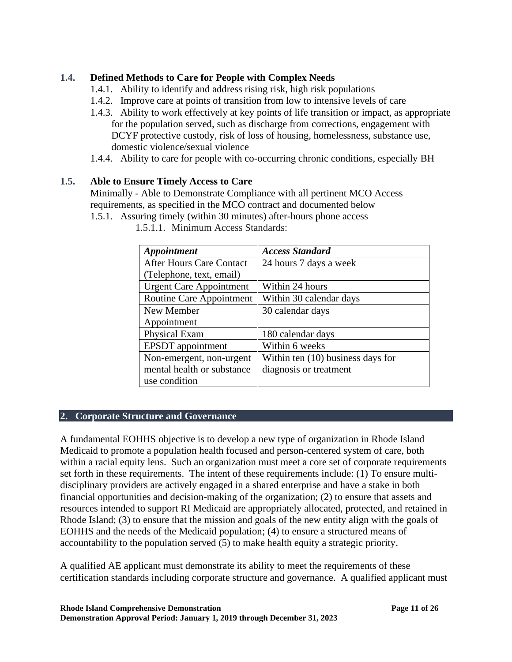# **1.4. Defined Methods to Care for People with Complex Needs**

- 1.4.1. Ability to identify and address rising risk, high risk populations
- 1.4.2. Improve care at points of transition from low to intensive levels of care
- 1.4.3. Ability to work effectively at key points of life transition or impact, as appropriate for the population served, such as discharge from corrections, engagement with DCYF protective custody, risk of loss of housing, homelessness, substance use, domestic violence/sexual violence
- 1.4.4. Ability to care for people with co-occurring chronic conditions, especially BH

#### **1.5. Able to Ensure Timely Access to Care**

Minimally - Able to Demonstrate Compliance with all pertinent MCO Access requirements, as specified in the MCO contract and documented below

1.5.1. Assuring timely (within 30 minutes) after-hours phone access

| Appointment                     | <b>Access Standard</b>            |
|---------------------------------|-----------------------------------|
| <b>After Hours Care Contact</b> | 24 hours 7 days a week            |
| (Telephone, text, email)        |                                   |
| <b>Urgent Care Appointment</b>  | Within 24 hours                   |
| Routine Care Appointment        | Within 30 calendar days           |
| New Member                      | 30 calendar days                  |
| Appointment                     |                                   |
| Physical Exam                   | 180 calendar days                 |
| <b>EPSDT</b> appointment        | Within 6 weeks                    |
| Non-emergent, non-urgent        | Within ten (10) business days for |
| mental health or substance      | diagnosis or treatment            |
| use condition                   |                                   |

1.5.1.1. Minimum Access Standards:

## **2. Corporate Structure and Governance**

A fundamental EOHHS objective is to develop a new type of organization in Rhode Island Medicaid to promote a population health focused and person-centered system of care, both within a racial equity lens. Such an organization must meet a core set of corporate requirements set forth in these requirements. The intent of these requirements include: (1) To ensure multidisciplinary providers are actively engaged in a shared enterprise and have a stake in both financial opportunities and decision-making of the organization; (2) to ensure that assets and resources intended to support RI Medicaid are appropriately allocated, protected, and retained in Rhode Island; (3) to ensure that the mission and goals of the new entity align with the goals of EOHHS and the needs of the Medicaid population; (4) to ensure a structured means of accountability to the population served (5) to make health equity a strategic priority.

A qualified AE applicant must demonstrate its ability to meet the requirements of these certification standards including corporate structure and governance. A qualified applicant must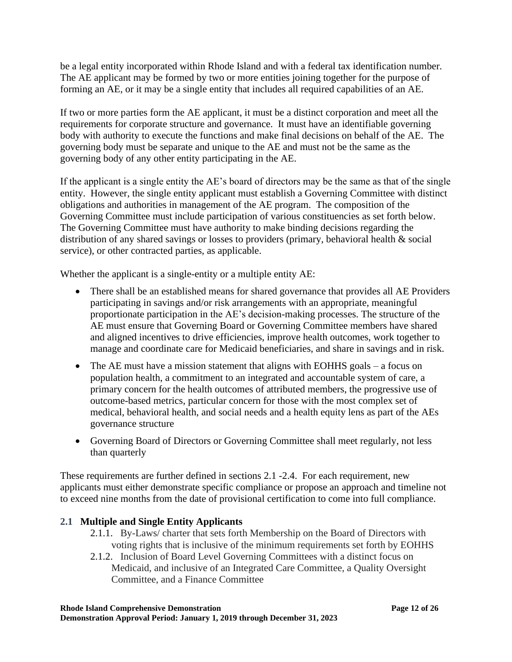be a legal entity incorporated within Rhode Island and with a federal tax identification number. The AE applicant may be formed by two or more entities joining together for the purpose of forming an AE, or it may be a single entity that includes all required capabilities of an AE.

If two or more parties form the AE applicant, it must be a distinct corporation and meet all the requirements for corporate structure and governance. It must have an identifiable governing body with authority to execute the functions and make final decisions on behalf of the AE. The governing body must be separate and unique to the AE and must not be the same as the governing body of any other entity participating in the AE.

If the applicant is a single entity the AE's board of directors may be the same as that of the single entity. However, the single entity applicant must establish a Governing Committee with distinct obligations and authorities in management of the AE program. The composition of the Governing Committee must include participation of various constituencies as set forth below. The Governing Committee must have authority to make binding decisions regarding the distribution of any shared savings or losses to providers (primary, behavioral health & social service), or other contracted parties, as applicable.

Whether the applicant is a single-entity or a multiple entity AE:

- There shall be an established means for shared governance that provides all AE Providers participating in savings and/or risk arrangements with an appropriate, meaningful proportionate participation in the AE's decision-making processes. The structure of the AE must ensure that Governing Board or Governing Committee members have shared and aligned incentives to drive efficiencies, improve health outcomes, work together to manage and coordinate care for Medicaid beneficiaries, and share in savings and in risk.
- The AE must have a mission statement that aligns with EOHHS goals a focus on population health, a commitment to an integrated and accountable system of care, a primary concern for the health outcomes of attributed members, the progressive use of outcome-based metrics, particular concern for those with the most complex set of medical, behavioral health, and social needs and a health equity lens as part of the AEs governance structure
- Governing Board of Directors or Governing Committee shall meet regularly, not less than quarterly

These requirements are further defined in sections 2.1 -2.4. For each requirement, new applicants must either demonstrate specific compliance or propose an approach and timeline not to exceed nine months from the date of provisional certification to come into full compliance.

# **2.1 Multiple and Single Entity Applicants**

- 2.1.1. By-Laws/ charter that sets forth Membership on the Board of Directors with voting rights that is inclusive of the minimum requirements set forth by EOHHS
- 2.1.2. Inclusion of Board Level Governing Committees with a distinct focus on Medicaid, and inclusive of an Integrated Care Committee, a Quality Oversight Committee, and a Finance Committee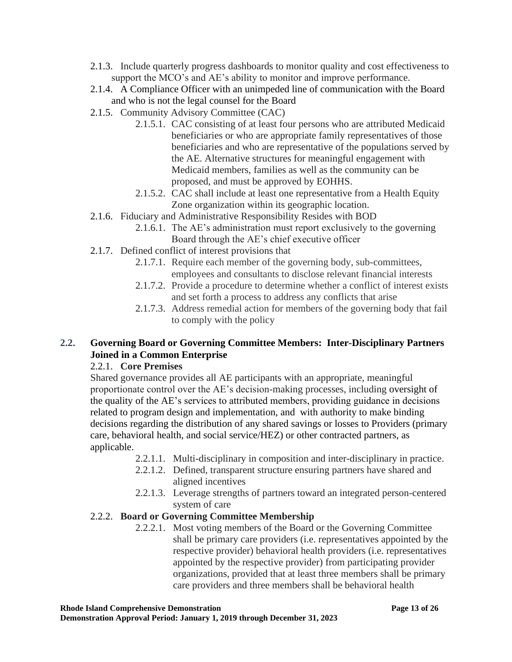- 2.1.3. Include quarterly progress dashboards to monitor quality and cost effectiveness to support the MCO's and AE's ability to monitor and improve performance.
- 2.1.4. A Compliance Officer with an unimpeded line of communication with the Board and who is not the legal counsel for the Board
- 2.1.5. Community Advisory Committee (CAC)
	- 2.1.5.1. CAC consisting of at least four persons who are attributed Medicaid beneficiaries or who are appropriate family representatives of those beneficiaries and who are representative of the populations served by the AE. Alternative structures for meaningful engagement with Medicaid members, families as well as the community can be proposed, and must be approved by EOHHS.
	- 2.1.5.2. CAC shall include at least one representative from a Health Equity Zone organization within its geographic location.
- 2.1.6. Fiduciary and Administrative Responsibility Resides with BOD
	- 2.1.6.1. The AE's administration must report exclusively to the governing Board through the AE's chief executive officer
- 2.1.7. Defined conflict of interest provisions that
	- 2.1.7.1. Require each member of the governing body, sub-committees, employees and consultants to disclose relevant financial interests
	- 2.1.7.2. Provide a procedure to determine whether a conflict of interest exists and set forth a process to address any conflicts that arise
	- 2.1.7.3. Address remedial action for members of the governing body that fail to comply with the policy

# **2.2. Governing Board or Governing Committee Members: Inter-Disciplinary Partners Joined in a Common Enterprise**

## 2.2.1. **Core Premises**

Shared governance provides all AE participants with an appropriate, meaningful proportionate control over the AE's decision-making processes, including oversight of the quality of the AE's services to attributed members, providing guidance in decisions related to program design and implementation, and with authority to make binding decisions regarding the distribution of any shared savings or losses to Providers (primary care, behavioral health, and social service/HEZ) or other contracted partners, as applicable.

- 2.2.1.1. Multi-disciplinary in composition and inter-disciplinary in practice.
- 2.2.1.2. Defined, transparent structure ensuring partners have shared and aligned incentives
- 2.2.1.3. Leverage strengths of partners toward an integrated person-centered system of care

## 2.2.2. **Board or Governing Committee Membership**

2.2.2.1. Most voting members of the Board or the Governing Committee shall be primary care providers (i.e. representatives appointed by the respective provider) behavioral health providers (i.e. representatives appointed by the respective provider) from participating provider organizations, provided that at least three members shall be primary care providers and three members shall be behavioral health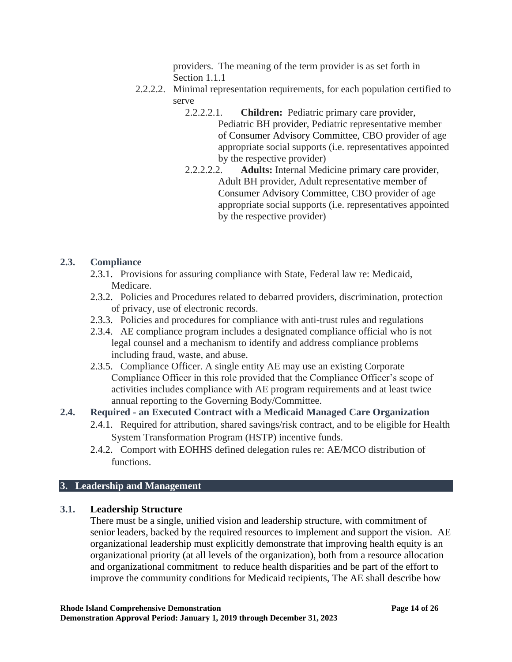providers. The meaning of the term provider is as set forth in Section 1.1.1

- 2.2.2.2. Minimal representation requirements, for each population certified to serve
	- 2.2.2.2.1. **Children:** Pediatric primary care provider, Pediatric BH provider, Pediatric representative member of Consumer Advisory Committee, CBO provider of age appropriate social supports (i.e. representatives appointed by the respective provider)
	- 2.2.2.2.2. **Adults:** Internal Medicine primary care provider, Adult BH provider, Adult representative member of Consumer Advisory Committee, CBO provider of age appropriate social supports (i.e. representatives appointed by the respective provider)

#### **2.3. Compliance**

- 2.3.1. Provisions for assuring compliance with State, Federal law re: Medicaid, Medicare.
- 2.3.2. Policies and Procedures related to debarred providers, discrimination, protection of privacy, use of electronic records.
- 2.3.3. Policies and procedures for compliance with anti-trust rules and regulations
- 2.3.4. AE compliance program includes a designated compliance official who is not legal counsel and a mechanism to identify and address compliance problems including fraud, waste, and abuse.
- 2.3.5. Compliance Officer. A single entity AE may use an existing Corporate Compliance Officer in this role provided that the Compliance Officer's scope of activities includes compliance with AE program requirements and at least twice annual reporting to the Governing Body/Committee.

# **2.4. Required - an Executed Contract with a Medicaid Managed Care Organization**

- 2.4.1. Required for attribution, shared savings/risk contract, and to be eligible for Health System Transformation Program (HSTP) incentive funds.
- 2.4.2. Comport with EOHHS defined delegation rules re: AE/MCO distribution of functions.

#### **3. Leadership and Management**

#### **3.1. Leadership Structure**

There must be a single, unified vision and leadership structure, with commitment of senior leaders, backed by the required resources to implement and support the vision. AE organizational leadership must explicitly demonstrate that improving health equity is an organizational priority (at all levels of the organization), both from a resource allocation and organizational commitment to reduce health disparities and be part of the effort to improve the community conditions for Medicaid recipients, The AE shall describe how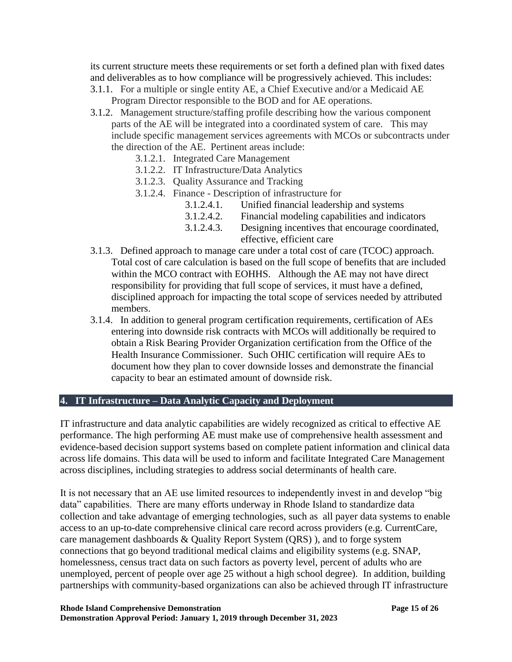its current structure meets these requirements or set forth a defined plan with fixed dates and deliverables as to how compliance will be progressively achieved. This includes:

- 3.1.1. For a multiple or single entity AE, a Chief Executive and/or a Medicaid AE Program Director responsible to the BOD and for AE operations.
- 3.1.2. Management structure/staffing profile describing how the various component parts of the AE will be integrated into a coordinated system of care. This may include specific management services agreements with MCOs or subcontracts under the direction of the AE. Pertinent areas include:
	- 3.1.2.1. Integrated Care Management
	- 3.1.2.2. IT Infrastructure/Data Analytics
	- 3.1.2.3. Quality Assurance and Tracking
	- 3.1.2.4. Finance Description of infrastructure for
		- 3.1.2.4.1. Unified financial leadership and systems
		- 3.1.2.4.2. Financial modeling capabilities and indicators
		- 3.1.2.4.3. Designing incentives that encourage coordinated, effective, efficient care
- 3.1.3. Defined approach to manage care under a total cost of care (TCOC) approach. Total cost of care calculation is based on the full scope of benefits that are included within the MCO contract with EOHHS. Although the AE may not have direct responsibility for providing that full scope of services, it must have a defined, disciplined approach for impacting the total scope of services needed by attributed members.
- 3.1.4. In addition to general program certification requirements, certification of AEs entering into downside risk contracts with MCOs will additionally be required to obtain a Risk Bearing Provider Organization certification from the Office of the Health Insurance Commissioner. Such OHIC certification will require AEs to document how they plan to cover downside losses and demonstrate the financial capacity to bear an estimated amount of downside risk.

#### **4. IT Infrastructure – Data Analytic Capacity and Deployment**

IT infrastructure and data analytic capabilities are widely recognized as critical to effective AE performance. The high performing AE must make use of comprehensive health assessment and evidence-based decision support systems based on complete patient information and clinical data across life domains. This data will be used to inform and facilitate Integrated Care Management across disciplines, including strategies to address social determinants of health care.

It is not necessary that an AE use limited resources to independently invest in and develop "big data" capabilities. There are many efforts underway in Rhode Island to standardize data collection and take advantage of emerging technologies, such as all payer data systems to enable access to an up-to-date comprehensive clinical care record across providers (e.g. CurrentCare, care management dashboards & Quality Report System (QRS) ), and to forge system connections that go beyond traditional medical claims and eligibility systems (e.g. SNAP, homelessness, census tract data on such factors as poverty level, percent of adults who are unemployed, percent of people over age 25 without a high school degree). In addition, building partnerships with community-based organizations can also be achieved through IT infrastructure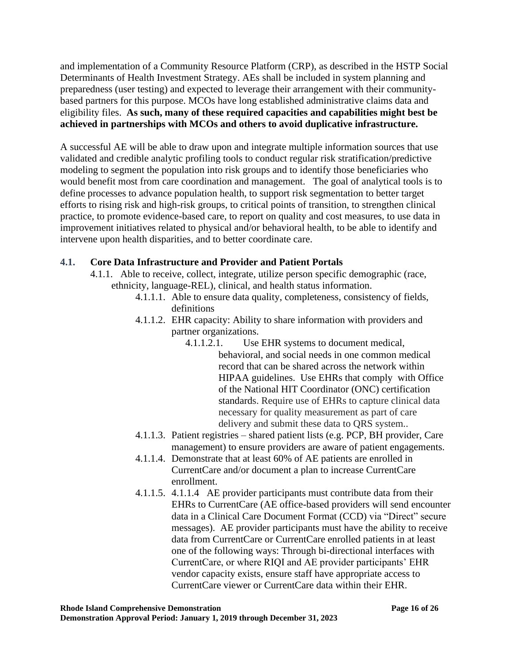and implementation of a Community Resource Platform (CRP), as described in the HSTP Social Determinants of Health Investment Strategy. AEs shall be included in system planning and preparedness (user testing) and expected to leverage their arrangement with their communitybased partners for this purpose. MCOs have long established administrative claims data and eligibility files. **As such, many of these required capacities and capabilities might best be achieved in partnerships with MCOs and others to avoid duplicative infrastructure.**

A successful AE will be able to draw upon and integrate multiple information sources that use validated and credible analytic profiling tools to conduct regular risk stratification/predictive modeling to segment the population into risk groups and to identify those beneficiaries who would benefit most from care coordination and management. The goal of analytical tools is to define processes to advance population health, to support risk segmentation to better target efforts to rising risk and high-risk groups, to critical points of transition, to strengthen clinical practice, to promote evidence-based care, to report on quality and cost measures, to use data in improvement initiatives related to physical and/or behavioral health, to be able to identify and intervene upon health disparities, and to better coordinate care.

# **4.1. Core Data Infrastructure and Provider and Patient Portals**

- 4.1.1. Able to receive, collect, integrate, utilize person specific demographic (race, ethnicity, language-REL), clinical, and health status information.
	- 4.1.1.1. Able to ensure data quality, completeness, consistency of fields, definitions
	- 4.1.1.2. EHR capacity: Ability to share information with providers and partner organizations.
		- 4.1.1.2.1. Use EHR systems to document medical, behavioral, and social needs in one common medical record that can be shared across the network within HIPAA guidelines. Use EHRs that comply with Office of the National HIT Coordinator (ONC) certification standards. Require use of EHRs to capture clinical data necessary for quality measurement as part of care delivery and submit these data to QRS system..
	- 4.1.1.3. Patient registries shared patient lists (e.g. PCP, BH provider, Care management) to ensure providers are aware of patient engagements.
	- 4.1.1.4. Demonstrate that at least 60% of AE patients are enrolled in CurrentCare and/or document a plan to increase CurrentCare enrollment.
	- 4.1.1.5. 4.1.1.4 AE provider participants must contribute data from their EHRs to CurrentCare (AE office-based providers will send encounter data in a Clinical Care Document Format (CCD) via "Direct" secure messages). AE provider participants must have the ability to receive data from CurrentCare or CurrentCare enrolled patients in at least one of the following ways: Through bi-directional interfaces with CurrentCare, or where RIQI and AE provider participants' EHR vendor capacity exists, ensure staff have appropriate access to CurrentCare viewer or CurrentCare data within their EHR.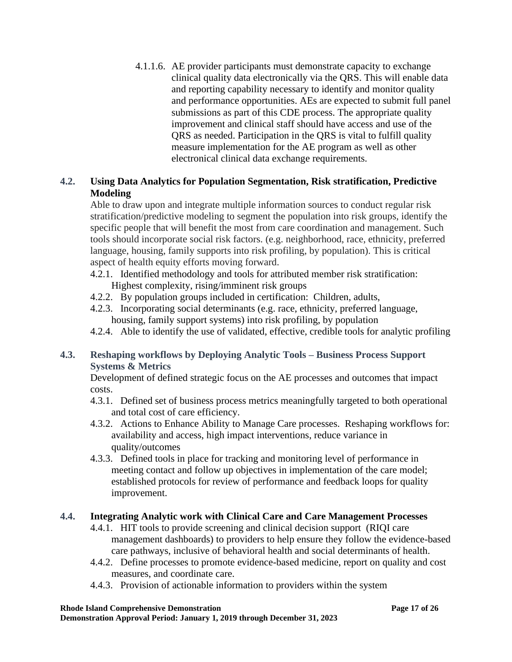4.1.1.6. AE provider participants must demonstrate capacity to exchange clinical quality data electronically via the QRS. This will enable data and reporting capability necessary to identify and monitor quality and performance opportunities. AEs are expected to submit full panel submissions as part of this CDE process. The appropriate quality improvement and clinical staff should have access and use of the QRS as needed. Participation in the QRS is vital to fulfill quality measure implementation for the AE program as well as other electronical clinical data exchange requirements.

# **4.2. Using Data Analytics for Population Segmentation, Risk stratification, Predictive Modeling**

Able to draw upon and integrate multiple information sources to conduct regular risk stratification/predictive modeling to segment the population into risk groups, identify the specific people that will benefit the most from care coordination and management. Such tools should incorporate social risk factors. (e.g. neighborhood, race, ethnicity, preferred language, housing, family supports into risk profiling, by population). This is critical aspect of health equity efforts moving forward.

- 4.2.1. Identified methodology and tools for attributed member risk stratification: Highest complexity, rising/imminent risk groups
- 4.2.2. By population groups included in certification: Children, adults,
- 4.2.3. Incorporating social determinants (e.g. race, ethnicity, preferred language, housing, family support systems) into risk profiling, by population
- 4.2.4. Able to identify the use of validated, effective, credible tools for analytic profiling

# **4.3. Reshaping workflows by Deploying Analytic Tools – Business Process Support Systems & Metrics**

Development of defined strategic focus on the AE processes and outcomes that impact costs.

- 4.3.1. Defined set of business process metrics meaningfully targeted to both operational and total cost of care efficiency.
- 4.3.2. Actions to Enhance Ability to Manage Care processes. Reshaping workflows for: availability and access, high impact interventions, reduce variance in quality/outcomes
- 4.3.3. Defined tools in place for tracking and monitoring level of performance in meeting contact and follow up objectives in implementation of the care model; established protocols for review of performance and feedback loops for quality improvement.

## **4.4. Integrating Analytic work with Clinical Care and Care Management Processes**

- 4.4.1. HIT tools to provide screening and clinical decision support (RIQI care management dashboards) to providers to help ensure they follow the evidence-based care pathways, inclusive of behavioral health and social determinants of health.
- 4.4.2. Define processes to promote evidence-based medicine, report on quality and cost measures, and coordinate care.
- 4.4.3. Provision of actionable information to providers within the system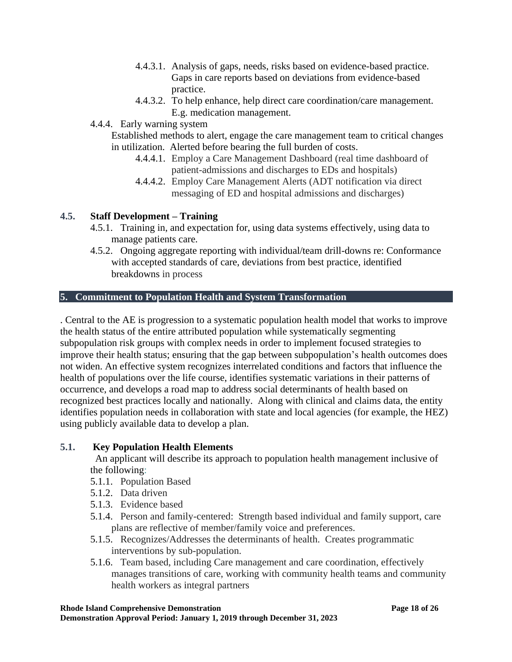- 4.4.3.1. Analysis of gaps, needs, risks based on evidence-based practice. Gaps in care reports based on deviations from evidence-based practice.
- 4.4.3.2. To help enhance, help direct care coordination/care management. E.g. medication management.
- 4.4.4. Early warning system

Established methods to alert, engage the care management team to critical changes in utilization. Alerted before bearing the full burden of costs.

- 4.4.4.1. Employ a Care Management Dashboard (real time dashboard of patient-admissions and discharges to EDs and hospitals)
- 4.4.4.2. Employ Care Management Alerts (ADT notification via direct messaging of ED and hospital admissions and discharges)

# **4.5. Staff Development – Training**

- 4.5.1. Training in, and expectation for, using data systems effectively, using data to manage patients care.
- 4.5.2. Ongoing aggregate reporting with individual/team drill-downs re: Conformance with accepted standards of care, deviations from best practice, identified breakdowns in process

## **5. Commitment to Population Health and System Transformation**

. Central to the AE is progression to a systematic population health model that works to improve the health status of the entire attributed population while systematically segmenting subpopulation risk groups with complex needs in order to implement focused strategies to improve their health status; ensuring that the gap between subpopulation's health outcomes does not widen. An effective system recognizes interrelated conditions and factors that influence the health of populations over the life course, identifies systematic variations in their patterns of occurrence, and develops a road map to address social determinants of health based on recognized best practices locally and nationally. Along with clinical and claims data, the entity identifies population needs in collaboration with state and local agencies (for example, the HEZ) using publicly available data to develop a plan.

## **5.1. Key Population Health Elements**

An applicant will describe its approach to population health management inclusive of the following:

- 5.1.1. Population Based
- 5.1.2. Data driven
- 5.1.3. Evidence based
- 5.1.4. Person and family-centered: Strength based individual and family support, care plans are reflective of member/family voice and preferences.
- 5.1.5. Recognizes/Addresses the determinants of health. Creates programmatic interventions by sub-population.
- 5.1.6. Team based, including Care management and care coordination, effectively manages transitions of care, working with community health teams and community health workers as integral partners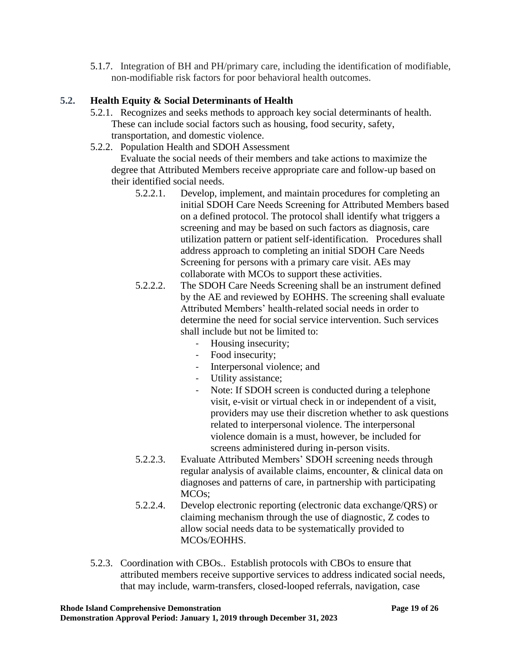5.1.7. Integration of BH and PH/primary care, including the identification of modifiable, non-modifiable risk factors for poor behavioral health outcomes.

# **5.2. Health Equity & Social Determinants of Health**

- 5.2.1. Recognizes and seeks methods to approach key social determinants of health. These can include social factors such as housing, food security, safety, transportation, and domestic violence.
- 5.2.2. Population Health and SDOH Assessment

Evaluate the social needs of their members and take actions to maximize the degree that Attributed Members receive appropriate care and follow-up based on their identified social needs.

- 5.2.2.1. Develop, implement, and maintain procedures for completing an initial SDOH Care Needs Screening for Attributed Members based on a defined protocol. The protocol shall identify what triggers a screening and may be based on such factors as diagnosis, care utilization pattern or patient self-identification. Procedures shall address approach to completing an initial SDOH Care Needs Screening for persons with a primary care visit. AEs may collaborate with MCOs to support these activities.
- 5.2.2.2. The SDOH Care Needs Screening shall be an instrument defined by the AE and reviewed by EOHHS. The screening shall evaluate Attributed Members' health-related social needs in order to determine the need for social service intervention. Such services shall include but not be limited to:
	- Housing insecurity;
	- Food insecurity;
	- Interpersonal violence; and
	- Utility assistance;
	- Note: If SDOH screen is conducted during a telephone visit, e-visit or virtual check in or independent of a visit, providers may use their discretion whether to ask questions related to interpersonal violence. The interpersonal violence domain is a must, however, be included for screens administered during in-person visits.
- 5.2.2.3. Evaluate Attributed Members' SDOH screening needs through regular analysis of available claims, encounter, & clinical data on diagnoses and patterns of care, in partnership with participating MCOs;
- 5.2.2.4. Develop electronic reporting (electronic data exchange/QRS) or claiming mechanism through the use of diagnostic, Z codes to allow social needs data to be systematically provided to MCOs/EOHHS.
- 5.2.3. Coordination with CBOs.. Establish protocols with CBOs to ensure that attributed members receive supportive services to address indicated social needs, that may include, warm-transfers, closed-looped referrals, navigation, case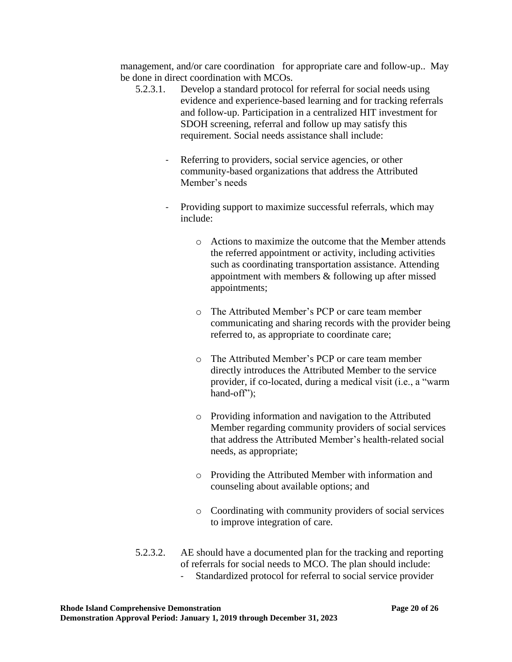management, and/or care coordination for appropriate care and follow-up.. May be done in direct coordination with MCOs.

- 5.2.3.1. Develop a standard protocol for referral for social needs using evidence and experience-based learning and for tracking referrals and follow-up. Participation in a centralized HIT investment for SDOH screening, referral and follow up may satisfy this requirement. Social needs assistance shall include:
	- Referring to providers, social service agencies, or other community-based organizations that address the Attributed Member's needs
	- Providing support to maximize successful referrals, which may include:
		- o Actions to maximize the outcome that the Member attends the referred appointment or activity, including activities such as coordinating transportation assistance. Attending appointment with members & following up after missed appointments;
		- o The Attributed Member's PCP or care team member communicating and sharing records with the provider being referred to, as appropriate to coordinate care;
		- o The Attributed Member's PCP or care team member directly introduces the Attributed Member to the service provider, if co-located, during a medical visit (i.e., a "warm hand-off");
		- o Providing information and navigation to the Attributed Member regarding community providers of social services that address the Attributed Member's health-related social needs, as appropriate;
		- o Providing the Attributed Member with information and counseling about available options; and
		- o Coordinating with community providers of social services to improve integration of care.
- 5.2.3.2. AE should have a documented plan for the tracking and reporting of referrals for social needs to MCO. The plan should include:
	- Standardized protocol for referral to social service provider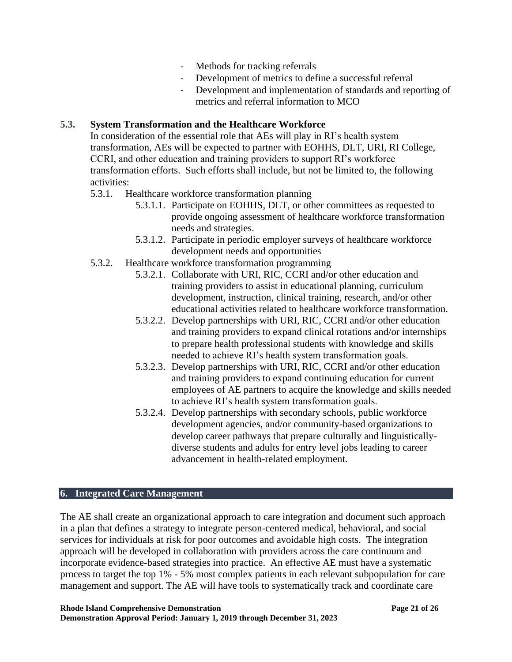- Methods for tracking referrals
- Development of metrics to define a successful referral
- Development and implementation of standards and reporting of metrics and referral information to MCO

#### **5.3. System Transformation and the Healthcare Workforce**

In consideration of the essential role that AEs will play in RI's health system transformation, AEs will be expected to partner with EOHHS, DLT, URI, RI College, CCRI, and other education and training providers to support RI's workforce transformation efforts. Such efforts shall include, but not be limited to, the following activities:

- 5.3.1. Healthcare workforce transformation planning
	- 5.3.1.1. Participate on EOHHS, DLT, or other committees as requested to provide ongoing assessment of healthcare workforce transformation needs and strategies.
	- 5.3.1.2. Participate in periodic employer surveys of healthcare workforce development needs and opportunities
- 5.3.2. Healthcare workforce transformation programming
	- 5.3.2.1. Collaborate with URI, RIC, CCRI and/or other education and training providers to assist in educational planning, curriculum development, instruction, clinical training, research, and/or other educational activities related to healthcare workforce transformation.
	- 5.3.2.2. Develop partnerships with URI, RIC, CCRI and/or other education and training providers to expand clinical rotations and/or internships to prepare health professional students with knowledge and skills needed to achieve RI's health system transformation goals.
	- 5.3.2.3. Develop partnerships with URI, RIC, CCRI and/or other education and training providers to expand continuing education for current employees of AE partners to acquire the knowledge and skills needed to achieve RI's health system transformation goals.
	- 5.3.2.4. Develop partnerships with secondary schools, public workforce development agencies, and/or community-based organizations to develop career pathways that prepare culturally and linguisticallydiverse students and adults for entry level jobs leading to career advancement in health-related employment.

# **6. Integrated Care Management**

The AE shall create an organizational approach to care integration and document such approach in a plan that defines a strategy to integrate person-centered medical, behavioral, and social services for individuals at risk for poor outcomes and avoidable high costs. The integration approach will be developed in collaboration with providers across the care continuum and incorporate evidence-based strategies into practice. An effective AE must have a systematic process to target the top 1% - 5% most complex patients in each relevant subpopulation for care management and support. The AE will have tools to systematically track and coordinate care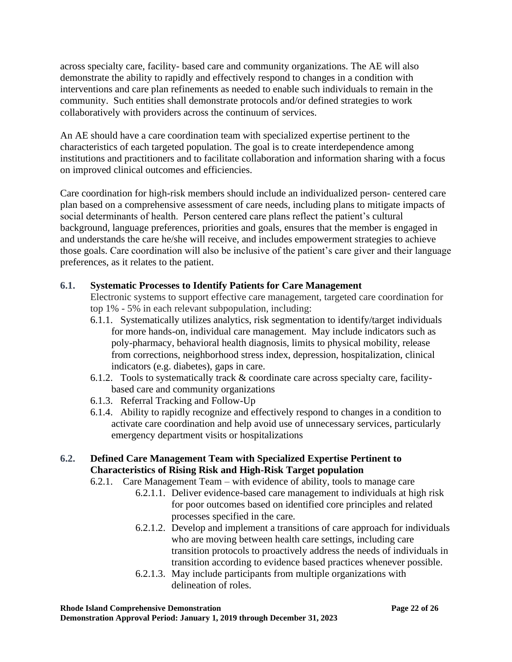across specialty care, facility- based care and community organizations. The AE will also demonstrate the ability to rapidly and effectively respond to changes in a condition with interventions and care plan refinements as needed to enable such individuals to remain in the community. Such entities shall demonstrate protocols and/or defined strategies to work collaboratively with providers across the continuum of services.

An AE should have a care coordination team with specialized expertise pertinent to the characteristics of each targeted population. The goal is to create interdependence among institutions and practitioners and to facilitate collaboration and information sharing with a focus on improved clinical outcomes and efficiencies.

Care coordination for high-risk members should include an individualized person- centered care plan based on a comprehensive assessment of care needs, including plans to mitigate impacts of social determinants of health. Person centered care plans reflect the patient's cultural background, language preferences, priorities and goals, ensures that the member is engaged in and understands the care he/she will receive, and includes empowerment strategies to achieve those goals. Care coordination will also be inclusive of the patient's care giver and their language preferences, as it relates to the patient.

# **6.1. Systematic Processes to Identify Patients for Care Management**

Electronic systems to support effective care management, targeted care coordination for top 1% - 5% in each relevant subpopulation, including:

- 6.1.1. Systematically utilizes analytics, risk segmentation to identify/target individuals for more hands-on, individual care management. May include indicators such as poly-pharmacy, behavioral health diagnosis, limits to physical mobility, release from corrections, neighborhood stress index, depression, hospitalization, clinical indicators (e.g. diabetes), gaps in care.
- 6.1.2. Tools to systematically track  $&$  coordinate care across specialty care, facilitybased care and community organizations
- 6.1.3. Referral Tracking and Follow-Up
- 6.1.4. Ability to rapidly recognize and effectively respond to changes in a condition to activate care coordination and help avoid use of unnecessary services, particularly emergency department visits or hospitalizations

# **6.2. Defined Care Management Team with Specialized Expertise Pertinent to Characteristics of Rising Risk and High-Risk Target population**

- 6.2.1. Care Management Team with evidence of ability, tools to manage care
	- 6.2.1.1. Deliver evidence-based care management to individuals at high risk for poor outcomes based on identified core principles and related processes specified in the care.
	- 6.2.1.2. Develop and implement a transitions of care approach for individuals who are moving between health care settings, including care transition protocols to proactively address the needs of individuals in transition according to evidence based practices whenever possible.
	- 6.2.1.3. May include participants from multiple organizations with delineation of roles.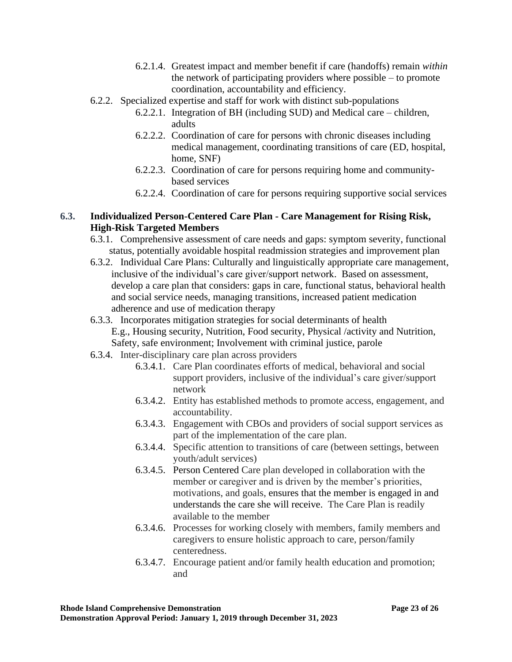- 6.2.1.4. Greatest impact and member benefit if care (handoffs) remain *within* the network of participating providers where possible – to promote coordination, accountability and efficiency.
- 6.2.2. Specialized expertise and staff for work with distinct sub-populations
	- 6.2.2.1. Integration of BH (including SUD) and Medical care children, adults
	- 6.2.2.2. Coordination of care for persons with chronic diseases including medical management, coordinating transitions of care (ED, hospital, home, SNF)
	- 6.2.2.3. Coordination of care for persons requiring home and communitybased services
	- 6.2.2.4. Coordination of care for persons requiring supportive social services

# **6.3. Individualized Person-Centered Care Plan - Care Management for Rising Risk, High-Risk Targeted Members**

- 6.3.1. Comprehensive assessment of care needs and gaps: symptom severity, functional status, potentially avoidable hospital readmission strategies and improvement plan
- 6.3.2. Individual Care Plans: Culturally and linguistically appropriate care management, inclusive of the individual's care giver/support network. Based on assessment, develop a care plan that considers: gaps in care, functional status, behavioral health and social service needs, managing transitions, increased patient medication adherence and use of medication therapy
- 6.3.3. Incorporates mitigation strategies for social determinants of health E.g., Housing security, Nutrition, Food security, Physical /activity and Nutrition, Safety, safe environment; Involvement with criminal justice, parole
- 6.3.4. Inter-disciplinary care plan across providers
	- 6.3.4.1. Care Plan coordinates efforts of medical, behavioral and social support providers, inclusive of the individual's care giver/support network
	- 6.3.4.2. Entity has established methods to promote access, engagement, and accountability.
	- 6.3.4.3. Engagement with CBOs and providers of social support services as part of the implementation of the care plan.
	- 6.3.4.4. Specific attention to transitions of care (between settings, between youth/adult services)
	- 6.3.4.5. Person Centered Care plan developed in collaboration with the member or caregiver and is driven by the member's priorities, motivations, and goals, ensures that the member is engaged in and understands the care she will receive. The Care Plan is readily available to the member
	- 6.3.4.6. Processes for working closely with members, family members and caregivers to ensure holistic approach to care, person/family centeredness.
	- 6.3.4.7. Encourage patient and/or family health education and promotion; and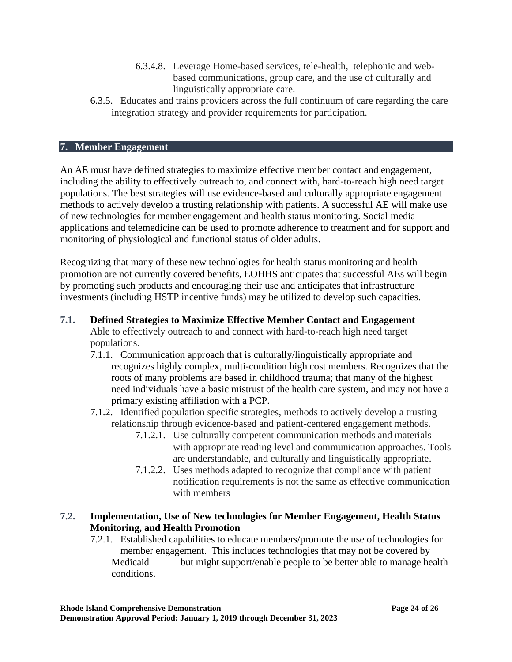- 6.3.4.8. Leverage Home-based services, tele-health, telephonic and webbased communications, group care, and the use of culturally and linguistically appropriate care.
- 6.3.5. Educates and trains providers across the full continuum of care regarding the care integration strategy and provider requirements for participation.

#### **7. Member Engagement**

An AE must have defined strategies to maximize effective member contact and engagement, including the ability to effectively outreach to, and connect with, hard-to-reach high need target populations. The best strategies will use evidence-based and culturally appropriate engagement methods to actively develop a trusting relationship with patients. A successful AE will make use of new technologies for member engagement and health status monitoring. Social media applications and telemedicine can be used to promote adherence to treatment and for support and monitoring of physiological and functional status of older adults.

Recognizing that many of these new technologies for health status monitoring and health promotion are not currently covered benefits, EOHHS anticipates that successful AEs will begin by promoting such products and encouraging their use and anticipates that infrastructure investments (including HSTP incentive funds) may be utilized to develop such capacities.

## **7.1. Defined Strategies to Maximize Effective Member Contact and Engagement**

Able to effectively outreach to and connect with hard-to-reach high need target populations.

- 7.1.1. Communication approach that is culturally/linguistically appropriate and recognizes highly complex, multi-condition high cost members. Recognizes that the roots of many problems are based in childhood trauma; that many of the highest need individuals have a basic mistrust of the health care system, and may not have a primary existing affiliation with a PCP.
- 7.1.2. Identified population specific strategies, methods to actively develop a trusting relationship through evidence-based and patient-centered engagement methods.
	- 7.1.2.1. Use culturally competent communication methods and materials with appropriate reading level and communication approaches. Tools are understandable, and culturally and linguistically appropriate.
	- 7.1.2.2. Uses methods adapted to recognize that compliance with patient notification requirements is not the same as effective communication with members

## **7.2. Implementation, Use of New technologies for Member Engagement, Health Status Monitoring, and Health Promotion**

7.2.1. Established capabilities to educate members/promote the use of technologies for member engagement. This includes technologies that may not be covered by Medicaid but might support/enable people to be better able to manage health conditions.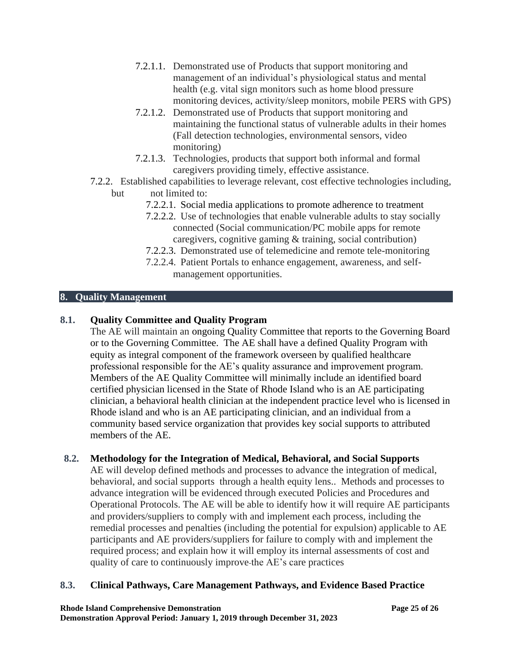- 7.2.1.1. Demonstrated use of Products that support monitoring and management of an individual's physiological status and mental health (e.g. vital sign monitors such as home blood pressure monitoring devices, activity/sleep monitors, mobile PERS with GPS)
- 7.2.1.2. Demonstrated use of Products that support monitoring and maintaining the functional status of vulnerable adults in their homes (Fall detection technologies, environmental sensors, video monitoring)
- 7.2.1.3. Technologies, products that support both informal and formal caregivers providing timely, effective assistance.
- 7.2.2. Established capabilities to leverage relevant, cost effective technologies including, but not limited to:
	- 7.2.2.1. Social media applications to promote adherence to treatment
	- 7.2.2.2. Use of technologies that enable vulnerable adults to stay socially connected (Social communication/PC mobile apps for remote caregivers, cognitive gaming & training, social contribution)
	- 7.2.2.3. Demonstrated use of telemedicine and remote tele-monitoring
	- 7.2.2.4. Patient Portals to enhance engagement, awareness, and selfmanagement opportunities.

# **8. Quality Management**

# **8.1. Quality Committee and Quality Program**

The AE will maintain an ongoing Quality Committee that reports to the Governing Board or to the Governing Committee. The AE shall have a defined Quality Program with equity as integral component of the framework overseen by qualified healthcare professional responsible for the AE's quality assurance and improvement program. Members of the AE Quality Committee will minimally include an identified board certified physician licensed in the State of Rhode Island who is an AE participating clinician, a behavioral health clinician at the independent practice level who is licensed in Rhode island and who is an AE participating clinician, and an individual from a community based service organization that provides key social supports to attributed members of the AE.

## **8.2. Methodology for the Integration of Medical, Behavioral, and Social Supports**

AE will develop defined methods and processes to advance the integration of medical, behavioral, and social supports through a health equity lens.. Methods and processes to advance integration will be evidenced through executed Policies and Procedures and Operational Protocols. The AE will be able to identify how it will require AE participants and providers/suppliers to comply with and implement each process, including the remedial processes and penalties (including the potential for expulsion) applicable to AE participants and AE providers/suppliers for failure to comply with and implement the required process; and explain how it will employ its internal assessments of cost and quality of care to continuously improve the AE's care practices

# **8.3. Clinical Pathways, Care Management Pathways, and Evidence Based Practice**